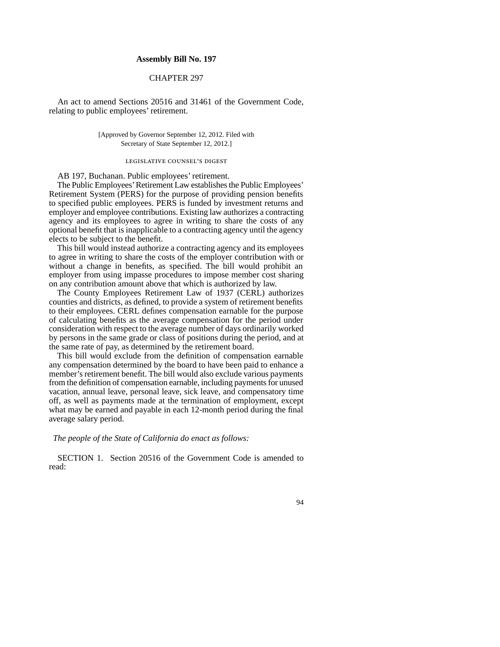## **Assembly Bill No. 197**

## CHAPTER 297

An act to amend Sections 20516 and 31461 of the Government Code, relating to public employees' retirement.

> [Approved by Governor September 12, 2012. Filed with Secretary of State September 12, 2012.]

## legislative counsel' s digest

AB 197, Buchanan. Public employees' retirement.

The Public Employees' Retirement Law establishes the Public Employees' Retirement System (PERS) for the purpose of providing pension benefits to specified public employees. PERS is funded by investment returns and employer and employee contributions. Existing law authorizes a contracting agency and its employees to agree in writing to share the costs of any optional benefit that is inapplicable to a contracting agency until the agency elects to be subject to the benefit.

This bill would instead authorize a contracting agency and its employees to agree in writing to share the costs of the employer contribution with or without a change in benefits, as specified. The bill would prohibit an employer from using impasse procedures to impose member cost sharing on any contribution amount above that which is authorized by law.

The County Employees Retirement Law of 1937 (CERL) authorizes counties and districts, as defined, to provide a system of retirement benefits to their employees. CERL defines compensation earnable for the purpose of calculating benefits as the average compensation for the period under consideration with respect to the average number of days ordinarily worked by persons in the same grade or class of positions during the period, and at the same rate of pay, as determined by the retirement board.

This bill would exclude from the definition of compensation earnable any compensation determined by the board to have been paid to enhance a member's retirement benefit. The bill would also exclude various payments from the definition of compensation earnable, including payments for unused vacation, annual leave, personal leave, sick leave, and compensatory time off, as well as payments made at the termination of employment, except what may be earned and payable in each 12-month period during the final average salary period.

*The people of the State of California do enact as follows:*

SECTION 1. Section 20516 of the Government Code is amended to read:

94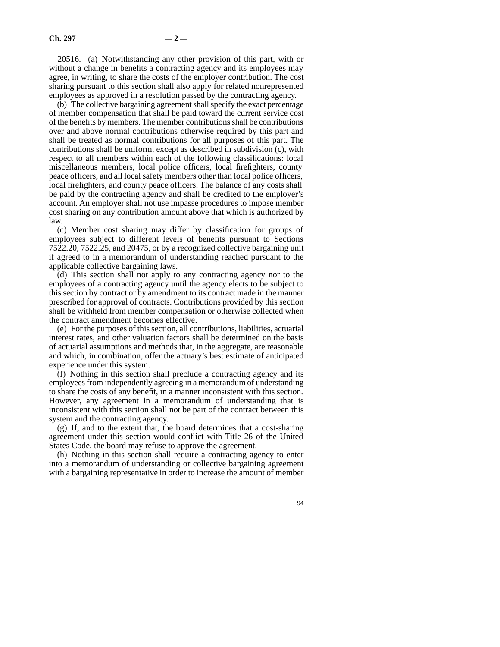20516. (a) Notwithstanding any other provision of this part, with or without a change in benefits a contracting agency and its employees may agree, in writing, to share the costs of the employer contribution. The cost sharing pursuant to this section shall also apply for related nonrepresented employees as approved in a resolution passed by the contracting agency.

(b) The collective bargaining agreement shall specify the exact percentage of member compensation that shall be paid toward the current service cost of the benefits by members. The member contributions shall be contributions over and above normal contributions otherwise required by this part and shall be treated as normal contributions for all purposes of this part. The contributions shall be uniform, except as described in subdivision (c), with respect to all members within each of the following classifications: local miscellaneous members, local police officers, local firefighters, county peace officers, and all local safety members other than local police officers, local firefighters, and county peace officers. The balance of any costs shall be paid by the contracting agency and shall be credited to the employer's account. An employer shall not use impasse procedures to impose member cost sharing on any contribution amount above that which is authorized by law.

(c) Member cost sharing may differ by classification for groups of employees subject to different levels of benefits pursuant to Sections 7522.20, 7522.25, and 20475, or by a recognized collective bargaining unit if agreed to in a memorandum of understanding reached pursuant to the applicable collective bargaining laws.

(d) This section shall not apply to any contracting agency nor to the employees of a contracting agency until the agency elects to be subject to this section by contract or by amendment to its contract made in the manner prescribed for approval of contracts. Contributions provided by this section shall be withheld from member compensation or otherwise collected when the contract amendment becomes effective.

(e) For the purposes of this section, all contributions, liabilities, actuarial interest rates, and other valuation factors shall be determined on the basis of actuarial assumptions and methods that, in the aggregate, are reasonable and which, in combination, offer the actuary's best estimate of anticipated experience under this system.

(f) Nothing in this section shall preclude a contracting agency and its employees from independently agreeing in a memorandum of understanding to share the costs of any benefit, in a manner inconsistent with this section. However, any agreement in a memorandum of understanding that is inconsistent with this section shall not be part of the contract between this system and the contracting agency.

(g) If, and to the extent that, the board determines that a cost-sharing agreement under this section would conflict with Title 26 of the United States Code, the board may refuse to approve the agreement.

(h) Nothing in this section shall require a contracting agency to enter into a memorandum of understanding or collective bargaining agreement with a bargaining representative in order to increase the amount of member

94